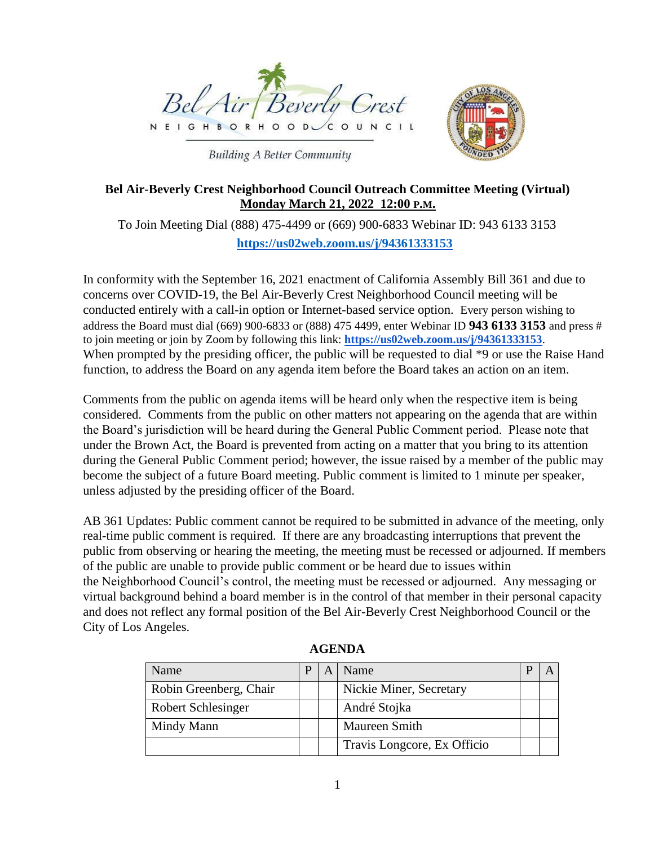



**Building A Better Community** 

# **Bel Air-Beverly Crest Neighborhood Council Outreach Committee Meeting (Virtual) Monday March 21, 2022 12:00 P.M.**

To Join Meeting Dial (888) 475-4499 or (669) 900-6833 Webinar ID: 943 6133 3153 **<https://us02web.zoom.us/j/94361333153>**

In conformity with the September 16, 2021 enactment of California Assembly Bill 361 and due to concerns over COVID-19, the Bel Air-Beverly Crest Neighborhood Council meeting will be conducted entirely with a call-in option or Internet-based service option. Every person wishing to address the Board must dial (669) 900-6833 or (888) 475 4499, enter Webinar ID **943 6133 3153** and press # to join meeting or join by Zoom by following this link: **https://us02web.zoom.us/j/94361333153**. When prompted by the presiding officer, the public will be requested to dial  $*9$  or use the Raise Hand function, to address the Board on any agenda item before the Board takes an action on an item.

Comments from the public on agenda items will be heard only when the respective item is being considered. Comments from the public on other matters not appearing on the agenda that are within the Board's jurisdiction will be heard during the General Public Comment period. Please note that under the Brown Act, the Board is prevented from acting on a matter that you bring to its attention during the General Public Comment period; however, the issue raised by a member of the public may become the subject of a future Board meeting. Public comment is limited to 1 minute per speaker, unless adjusted by the presiding officer of the Board.

AB 361 Updates: Public comment cannot be required to be submitted in advance of the meeting, only real-time public comment is required. If there are any broadcasting interruptions that prevent the public from observing or hearing the meeting, the meeting must be recessed or adjourned. If members of the public are unable to provide public comment or be heard due to issues within the Neighborhood Council's control, the meeting must be recessed or adjourned. Any messaging or virtual background behind a board member is in the control of that member in their personal capacity and does not reflect any formal position of the Bel Air-Beverly Crest Neighborhood Council or the City of Los Angeles.

| Name                   |  | Name                        |  |
|------------------------|--|-----------------------------|--|
| Robin Greenberg, Chair |  | Nickie Miner, Secretary     |  |
| Robert Schlesinger     |  | André Stojka                |  |
| Mindy Mann             |  | <b>Maureen Smith</b>        |  |
|                        |  | Travis Longcore, Ex Officio |  |

**AGENDA**